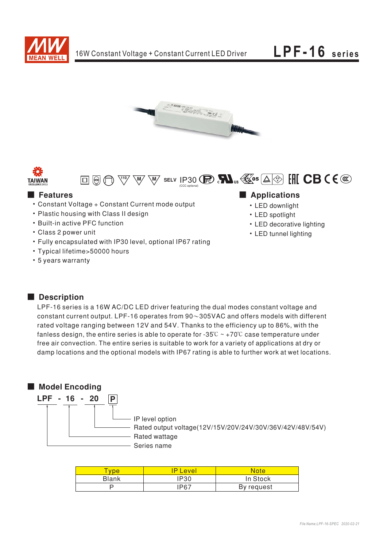

LPF-16 series







## **E** Features

- Constant Voltage + Constant Current mode output
- Plastic housing with Class II design
- Built-in active PFC function
- Class 2 power unit
- Fully encapsulated with IP30 level, optional IP67 rating
- Typical lifetime>50000 hours
- 5 years warranty

### Applications

- LED downlight
- LED spotlight
- LED decorative lighting
- LED tunnel lighting

## Description

LPF-16 series is a 16W AC/DC LED driver featuring the dual modes constant voltage and constant current output. LPF-16 operates from  $90\sim305$ VAC and offers models with different rated voltage ranging between 12V and 54V. Thanks to the efficiency up to 86%, with the fanless design, the entire series is able to operate for -35 $\degree$  ~ +70 $\degree$ C case temperature under free air convection. The entire series is suitable to work for a variety of applications at dry or damp locations and the optional models with IP67 rating is able to further work at wet locations.

# Model Encoding



| vpe          | <b>P</b> Level | <b>Note</b> |
|--------------|----------------|-------------|
| <b>Blank</b> | <b>P30</b>     | In Stock    |
|              | 1P67           | By request  |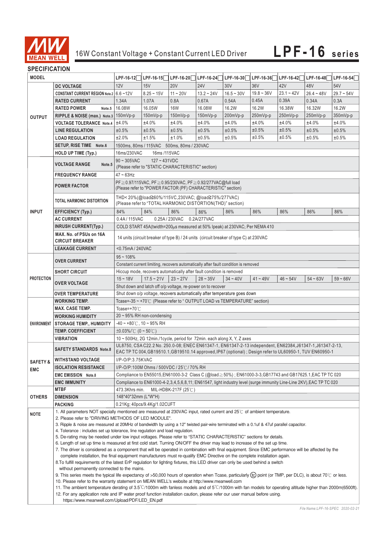

#### **SPECIFICATION**

| יוטו ובאו ווט⊾ וט |                                                                                                                                                                                                 |                                                                                                                                                                                                                                                                                                                                                                                                                                                                                                                                                                                                                                                                                                                                           |                                                                                  |                                |              |              |              |              |              |              |  |  |
|-------------------|-------------------------------------------------------------------------------------------------------------------------------------------------------------------------------------------------|-------------------------------------------------------------------------------------------------------------------------------------------------------------------------------------------------------------------------------------------------------------------------------------------------------------------------------------------------------------------------------------------------------------------------------------------------------------------------------------------------------------------------------------------------------------------------------------------------------------------------------------------------------------------------------------------------------------------------------------------|----------------------------------------------------------------------------------|--------------------------------|--------------|--------------|--------------|--------------|--------------|--------------|--|--|
| <b>MODEL</b>      |                                                                                                                                                                                                 | LPF-16-12                                                                                                                                                                                                                                                                                                                                                                                                                                                                                                                                                                                                                                                                                                                                 | LPF-16-15                                                                        | $LPF-16-20$                    | $LPF-16-24$  | LPF-16-30    | LPF-16-36    | LPF-16-42    | LPF-16-48    | $LPF-16-54$  |  |  |
| <b>OUTPUT</b>     | <b>DC VOLTAGE</b>                                                                                                                                                                               | 12V                                                                                                                                                                                                                                                                                                                                                                                                                                                                                                                                                                                                                                                                                                                                       | 15V                                                                              | <b>20V</b>                     | <b>24V</b>   | 30V          | 36V          | 42V          | 48V          | 54V          |  |  |
|                   | CONSTANT CURRENT REGION Note.2 6.6~12V                                                                                                                                                          |                                                                                                                                                                                                                                                                                                                                                                                                                                                                                                                                                                                                                                                                                                                                           | $8.25 - 15V$                                                                     | $11 - 20V$                     | $13.2 - 24V$ | $16.5 - 30V$ | $19.8 - 36V$ | $23.1 - 42V$ | $26.4 - 48V$ | $29.7 - 54V$ |  |  |
|                   | <b>RATED CURRENT</b>                                                                                                                                                                            | 1.34A                                                                                                                                                                                                                                                                                                                                                                                                                                                                                                                                                                                                                                                                                                                                     | 1.07A                                                                            | 0.8A                           | 0.67A        | 0.54A        | 0.45A        | 0.39A        | 0.34A        | 0.3A         |  |  |
|                   | <b>RATED POWER</b><br>Note.5                                                                                                                                                                    | 16.08W                                                                                                                                                                                                                                                                                                                                                                                                                                                                                                                                                                                                                                                                                                                                    | 16.05W                                                                           | <b>16W</b>                     | 16.08W       | 16.2W        | 16.2W        | 16.38W       | 16.32W       | 16.2W        |  |  |
|                   | RIPPLE & NOISE (max.) Note.3 150mVp-p                                                                                                                                                           |                                                                                                                                                                                                                                                                                                                                                                                                                                                                                                                                                                                                                                                                                                                                           | $150mVp-p$                                                                       | $150mVp-p$                     | 150mVp-p     | 200mVp-p     | 250mVp-p     | 250mVp-p     | 250mVp-p     | 350mVp-p     |  |  |
|                   | <b>VOLTAGE TOLERANCE Note.4</b>                                                                                                                                                                 | ±4.0%                                                                                                                                                                                                                                                                                                                                                                                                                                                                                                                                                                                                                                                                                                                                     | ±4.0%                                                                            | ±4.0%                          | ±4.0%        | ±4.0%        | ±4.0%        | ±4.0%        | ±4.0%        | ±4.0%        |  |  |
|                   | <b>LINE REGULATION</b>                                                                                                                                                                          | ±0.5%                                                                                                                                                                                                                                                                                                                                                                                                                                                                                                                                                                                                                                                                                                                                     | ±0.5%                                                                            | ±0.5%                          | ±0.5%        | ±0.5%        | ±0.5%        | ±0.5%        | ±0.5%        | ±0.5%        |  |  |
|                   | <b>LOAD REGULATION</b>                                                                                                                                                                          | ±2.0%                                                                                                                                                                                                                                                                                                                                                                                                                                                                                                                                                                                                                                                                                                                                     | ±1.5%                                                                            | ±1.0%                          | ±0.5%        | ±0.5%        | ±0.5%        | ±0.5%        | ±0.5%        | ±0.5%        |  |  |
|                   | SETUP, RISE TIME Note.6                                                                                                                                                                         | 1500ms, 80ms / 115VAC 500ms, 80ms / 230VAC                                                                                                                                                                                                                                                                                                                                                                                                                                                                                                                                                                                                                                                                                                |                                                                                  |                                |              |              |              |              |              |              |  |  |
|                   | <b>HOLD UP TIME (Typ.)</b>                                                                                                                                                                      | 16ms/230VAC<br>16ms / 115 VAC                                                                                                                                                                                                                                                                                                                                                                                                                                                                                                                                                                                                                                                                                                             |                                                                                  |                                |              |              |              |              |              |              |  |  |
|                   |                                                                                                                                                                                                 | $90 \sim 305$ VAC<br>$127 - 431VDC$                                                                                                                                                                                                                                                                                                                                                                                                                                                                                                                                                                                                                                                                                                       |                                                                                  |                                |              |              |              |              |              |              |  |  |
|                   | <b>VOLTAGE RANGE</b><br>Note.5                                                                                                                                                                  |                                                                                                                                                                                                                                                                                                                                                                                                                                                                                                                                                                                                                                                                                                                                           | (Please refer to "STATIC CHARACTERISTIC" section)                                |                                |              |              |              |              |              |              |  |  |
|                   | <b>FREQUENCY RANGE</b>                                                                                                                                                                          | $47 - 63$ Hz                                                                                                                                                                                                                                                                                                                                                                                                                                                                                                                                                                                                                                                                                                                              |                                                                                  |                                |              |              |              |              |              |              |  |  |
|                   |                                                                                                                                                                                                 |                                                                                                                                                                                                                                                                                                                                                                                                                                                                                                                                                                                                                                                                                                                                           |                                                                                  |                                |              |              |              |              |              |              |  |  |
|                   | <b>POWER FACTOR</b>                                                                                                                                                                             | PF ≥ 0.97/115VAC, PF ≥ 0.95/230VAC, PF ≥ 0.92/277VAC@full load<br>(Please refer to "POWER FACTOR (PF) CHARACTERISTIC" section)                                                                                                                                                                                                                                                                                                                                                                                                                                                                                                                                                                                                            |                                                                                  |                                |              |              |              |              |              |              |  |  |
|                   |                                                                                                                                                                                                 |                                                                                                                                                                                                                                                                                                                                                                                                                                                                                                                                                                                                                                                                                                                                           |                                                                                  |                                |              |              |              |              |              |              |  |  |
|                   | TOTAL HARMONIC DISTORTION                                                                                                                                                                       |                                                                                                                                                                                                                                                                                                                                                                                                                                                                                                                                                                                                                                                                                                                                           | THD<20%(@load≧60%/115VC,230VAC;@load≧75%/277VAC)                                 |                                |              |              |              |              |              |              |  |  |
|                   |                                                                                                                                                                                                 |                                                                                                                                                                                                                                                                                                                                                                                                                                                                                                                                                                                                                                                                                                                                           | (Please refer to "TOTAL HARMONIC DISTORTION(THD)" section)                       |                                |              |              |              |              |              |              |  |  |
| <b>INPUT</b>      | <b>EFFICIENCY (Typ.)</b>                                                                                                                                                                        | 84%                                                                                                                                                                                                                                                                                                                                                                                                                                                                                                                                                                                                                                                                                                                                       | 84%                                                                              | 86%                            | 86%          | 86%          | 86%          | 86%          | 86%          | 86%          |  |  |
|                   | <b>AC CURRENT</b>                                                                                                                                                                               | 0.4A/115VAC                                                                                                                                                                                                                                                                                                                                                                                                                                                                                                                                                                                                                                                                                                                               |                                                                                  | 0.25A/230VAC                   | 0.2A/277VAC  |              |              |              |              |              |  |  |
|                   | <b>INRUSH CURRENT(Typ.)</b>                                                                                                                                                                     |                                                                                                                                                                                                                                                                                                                                                                                                                                                                                                                                                                                                                                                                                                                                           | COLD START 45A(twidth=200 $\mu$ s measured at 50% Ipeak) at 230VAC; Per NEMA 410 |                                |              |              |              |              |              |              |  |  |
|                   | MAX. No. of PSUs on 16A                                                                                                                                                                         |                                                                                                                                                                                                                                                                                                                                                                                                                                                                                                                                                                                                                                                                                                                                           |                                                                                  |                                |              |              |              |              |              |              |  |  |
|                   | <b>CIRCUIT BREAKER</b>                                                                                                                                                                          | 14 units (circuit breaker of type B) / 24 units (circuit breaker of type C) at 230VAC                                                                                                                                                                                                                                                                                                                                                                                                                                                                                                                                                                                                                                                     |                                                                                  |                                |              |              |              |              |              |              |  |  |
|                   | <b>LEAKAGE CURRENT</b>                                                                                                                                                                          | <0.75mA / 240VAC                                                                                                                                                                                                                                                                                                                                                                                                                                                                                                                                                                                                                                                                                                                          |                                                                                  |                                |              |              |              |              |              |              |  |  |
|                   |                                                                                                                                                                                                 | $95 - 108\%$                                                                                                                                                                                                                                                                                                                                                                                                                                                                                                                                                                                                                                                                                                                              |                                                                                  |                                |              |              |              |              |              |              |  |  |
|                   | <b>OVER CURRENT</b>                                                                                                                                                                             | Constant current limiting, recovers automatically after fault condition is removed                                                                                                                                                                                                                                                                                                                                                                                                                                                                                                                                                                                                                                                        |                                                                                  |                                |              |              |              |              |              |              |  |  |
|                   | <b>SHORT CIRCUIT</b>                                                                                                                                                                            | Hiccup mode, recovers automatically after fault condition is removed                                                                                                                                                                                                                                                                                                                                                                                                                                                                                                                                                                                                                                                                      |                                                                                  |                                |              |              |              |              |              |              |  |  |
| <b>PROTECTION</b> |                                                                                                                                                                                                 | $15 - 18V$                                                                                                                                                                                                                                                                                                                                                                                                                                                                                                                                                                                                                                                                                                                                | $17.5 - 21V$                                                                     | $23 - 27V$                     | $28 - 35V$   | $34 - 40V$   | $41 - 49V$   | $46 - 54V$   | $54 - 63V$   | $59 - 66V$   |  |  |
|                   | <b>OVER VOLTAGE</b>                                                                                                                                                                             |                                                                                                                                                                                                                                                                                                                                                                                                                                                                                                                                                                                                                                                                                                                                           | Shut down and latch off o/p voltage, re-power on to recover                      |                                |              |              |              |              |              |              |  |  |
|                   | <b>OVER TEMPERATURE</b>                                                                                                                                                                         |                                                                                                                                                                                                                                                                                                                                                                                                                                                                                                                                                                                                                                                                                                                                           | Shut down o/p voltage, recovers automatically after temperature goes down        |                                |              |              |              |              |              |              |  |  |
|                   | <b>WORKING TEMP.</b>                                                                                                                                                                            | Tcase=-35 ~ +70°C (Please refer to "OUTPUT LOAD vs TEMPERATURE" section)                                                                                                                                                                                                                                                                                                                                                                                                                                                                                                                                                                                                                                                                  |                                                                                  |                                |              |              |              |              |              |              |  |  |
|                   | <b>MAX. CASE TEMP.</b>                                                                                                                                                                          | Tcase=+70 $°C$                                                                                                                                                                                                                                                                                                                                                                                                                                                                                                                                                                                                                                                                                                                            |                                                                                  |                                |              |              |              |              |              |              |  |  |
|                   | <b>WORKING HUMIDITY</b>                                                                                                                                                                         | $20 \sim 95\%$ RH non-condensing                                                                                                                                                                                                                                                                                                                                                                                                                                                                                                                                                                                                                                                                                                          |                                                                                  |                                |              |              |              |              |              |              |  |  |
|                   | ENVIRONMENT STORAGE TEMP., HUMIDITY                                                                                                                                                             | $-40 \sim +80^{\circ}$ C, 10 ~ 95% RH                                                                                                                                                                                                                                                                                                                                                                                                                                                                                                                                                                                                                                                                                                     |                                                                                  |                                |              |              |              |              |              |              |  |  |
|                   | <b>TEMP. COEFFICIENT</b>                                                                                                                                                                        | $\pm 0.03\%$ (0 ~ 50°C)                                                                                                                                                                                                                                                                                                                                                                                                                                                                                                                                                                                                                                                                                                                   |                                                                                  |                                |              |              |              |              |              |              |  |  |
|                   | <b>VIBRATION</b>                                                                                                                                                                                | 10 ~ 500Hz, 2G 12min./1cycle, period for 72min. each along X, Y, Z axes                                                                                                                                                                                                                                                                                                                                                                                                                                                                                                                                                                                                                                                                   |                                                                                  |                                |              |              |              |              |              |              |  |  |
|                   |                                                                                                                                                                                                 | UL8750, CSA C22.2 No. 250.0-08; ENEC EN61347-1, EN61347-2-13 independent, EN62384, J61347-1, J61347-2-13,                                                                                                                                                                                                                                                                                                                                                                                                                                                                                                                                                                                                                                 |                                                                                  |                                |              |              |              |              |              |              |  |  |
|                   | <b>SAFETY STANDARDS Note.8</b>                                                                                                                                                                  | EAC TP TC 004, GB19510.1, GB19510.14 approved, IP67 (optional); Design refer to UL60950-1, TUV EN60950-1                                                                                                                                                                                                                                                                                                                                                                                                                                                                                                                                                                                                                                  |                                                                                  |                                |              |              |              |              |              |              |  |  |
|                   | SAFETY & WITHSTAND VOLTAGE                                                                                                                                                                      | I/P-O/P:3.75KVAC                                                                                                                                                                                                                                                                                                                                                                                                                                                                                                                                                                                                                                                                                                                          |                                                                                  |                                |              |              |              |              |              |              |  |  |
|                   | <b>ISOLATION RESISTANCE</b>                                                                                                                                                                     |                                                                                                                                                                                                                                                                                                                                                                                                                                                                                                                                                                                                                                                                                                                                           | I/P-O/P:100M Ohms / 500VDC / 25℃/ 70% RH                                         |                                |              |              |              |              |              |              |  |  |
| EMC               | <b>EMC EMISSION Note.8</b>                                                                                                                                                                      |                                                                                                                                                                                                                                                                                                                                                                                                                                                                                                                                                                                                                                                                                                                                           |                                                                                  |                                |              |              |              |              |              |              |  |  |
|                   | <b>EMC IMMUNITY</b>                                                                                                                                                                             | Compliance to EN55015,EN61000-3-2 Class C (@load≥50%) ; EN61000-3-3,GB17743 and GB17625.1,EAC TP TC 020<br>Compliance to EN61000-4-2,3,4,5,6,8,11; EN61547, light industry level (surge immunity Line-Line 2KV), EAC TP TC 020                                                                                                                                                                                                                                                                                                                                                                                                                                                                                                            |                                                                                  |                                |              |              |              |              |              |              |  |  |
|                   | <b>MTBF</b>                                                                                                                                                                                     | 473.3Khrs min.                                                                                                                                                                                                                                                                                                                                                                                                                                                                                                                                                                                                                                                                                                                            |                                                                                  | MIL-HDBK-217F $(25^{\circ}$ C) |              |              |              |              |              |              |  |  |
| OTHERS            | <b>DIMENSION</b>                                                                                                                                                                                | 148*40*32mm (L*W*H)                                                                                                                                                                                                                                                                                                                                                                                                                                                                                                                                                                                                                                                                                                                       |                                                                                  |                                |              |              |              |              |              |              |  |  |
|                   |                                                                                                                                                                                                 |                                                                                                                                                                                                                                                                                                                                                                                                                                                                                                                                                                                                                                                                                                                                           | 0.21Kg; 40pcs/9.4Kg/1.02CUFT                                                     |                                |              |              |              |              |              |              |  |  |
|                   | <b>PACKING</b>                                                                                                                                                                                  |                                                                                                                                                                                                                                                                                                                                                                                                                                                                                                                                                                                                                                                                                                                                           |                                                                                  |                                |              |              |              |              |              |              |  |  |
| NOTE              | 1. All parameters NOT specially mentioned are measured at 230VAC input, rated current and $25^{\circ}$ of ambient temperature.                                                                  |                                                                                                                                                                                                                                                                                                                                                                                                                                                                                                                                                                                                                                                                                                                                           |                                                                                  |                                |              |              |              |              |              |              |  |  |
|                   | 2. Please refer to "DRIVING METHODS OF LED MODULE".<br>3. Ripple & noise are measured at 20MHz of bandwidth by using a 12" twisted pair-wire terminated with a 0.1uf & 47uf parallel capacitor. |                                                                                                                                                                                                                                                                                                                                                                                                                                                                                                                                                                                                                                                                                                                                           |                                                                                  |                                |              |              |              |              |              |              |  |  |
|                   |                                                                                                                                                                                                 | 4. Tolerance: includes set up tolerance, line regulation and load regulation.                                                                                                                                                                                                                                                                                                                                                                                                                                                                                                                                                                                                                                                             |                                                                                  |                                |              |              |              |              |              |              |  |  |
|                   | 5. De-rating may be needed under low input voltages. Please refer to "STATIC CHARACTERISTIC" sections for details.                                                                              |                                                                                                                                                                                                                                                                                                                                                                                                                                                                                                                                                                                                                                                                                                                                           |                                                                                  |                                |              |              |              |              |              |              |  |  |
|                   |                                                                                                                                                                                                 | 6. Length of set up time is measured at first cold start. Turning ON/OFF the driver may lead to increase of the set up time.<br>7. The driver is considered as a component that will be operated in combination with final equipment. Since EMC performance will be affected by the<br>complete installation, the final equipment manufacturers must re-qualify EMC Directive on the complete installation again.                                                                                                                                                                                                                                                                                                                         |                                                                                  |                                |              |              |              |              |              |              |  |  |
|                   |                                                                                                                                                                                                 |                                                                                                                                                                                                                                                                                                                                                                                                                                                                                                                                                                                                                                                                                                                                           |                                                                                  |                                |              |              |              |              |              |              |  |  |
|                   |                                                                                                                                                                                                 |                                                                                                                                                                                                                                                                                                                                                                                                                                                                                                                                                                                                                                                                                                                                           |                                                                                  |                                |              |              |              |              |              |              |  |  |
|                   |                                                                                                                                                                                                 | 8. To fulfill requirements of the latest ErP regulation for lighting fixtures, this LED driver can only be used behind a switch<br>without permanently connected to the mains.<br>9. This series meets the typical life expectancy of >50,000 hours of operation when Tcase, particularly (tc) point (or TMP, per DLC), is about 70°C or less.<br>10. Please refer to the warranty statement on MEAN WELL's website at http://www.meanwell.com<br>11. The ambient temperature derating of 3.5°C/1000m with fanless models and of 5°C/1000m with fan models for operating altitude higher than 2000m(6500ft).<br>12. For any application note and IP water proof function installation caution, please refer our user manual before using. |                                                                                  |                                |              |              |              |              |              |              |  |  |
|                   |                                                                                                                                                                                                 |                                                                                                                                                                                                                                                                                                                                                                                                                                                                                                                                                                                                                                                                                                                                           |                                                                                  |                                |              |              |              |              |              |              |  |  |
|                   |                                                                                                                                                                                                 |                                                                                                                                                                                                                                                                                                                                                                                                                                                                                                                                                                                                                                                                                                                                           |                                                                                  |                                |              |              |              |              |              |              |  |  |
|                   |                                                                                                                                                                                                 |                                                                                                                                                                                                                                                                                                                                                                                                                                                                                                                                                                                                                                                                                                                                           |                                                                                  |                                |              |              |              |              |              |              |  |  |
|                   |                                                                                                                                                                                                 |                                                                                                                                                                                                                                                                                                                                                                                                                                                                                                                                                                                                                                                                                                                                           |                                                                                  |                                |              |              |              |              |              |              |  |  |
|                   |                                                                                                                                                                                                 | https://www.meanwell.com/Upload/PDF/LED_EN.pdf                                                                                                                                                                                                                                                                                                                                                                                                                                                                                                                                                                                                                                                                                            |                                                                                  |                                |              |              |              |              |              |              |  |  |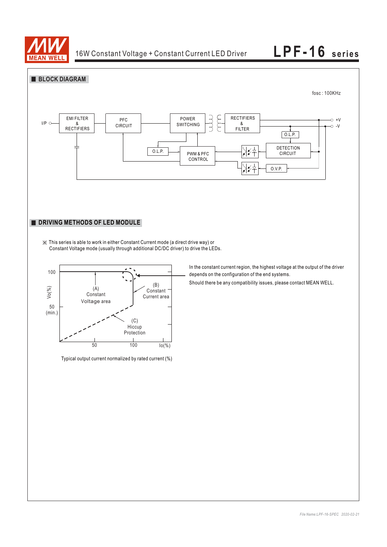





Typical output current normalized by rated current (%)

In the constant current region, the highest voltage at the output of the driver depends on the configuration of the end systems.

Should there be any compatibility issues, please contact MEAN WELL.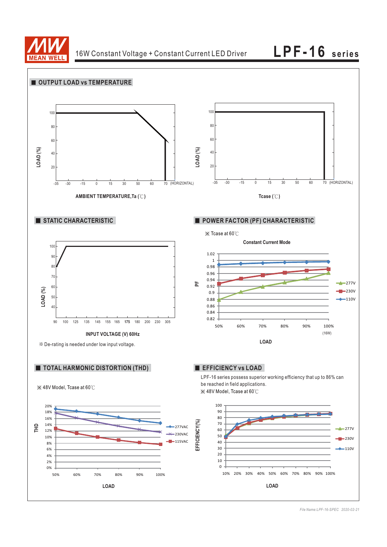

**LPF-16 series**

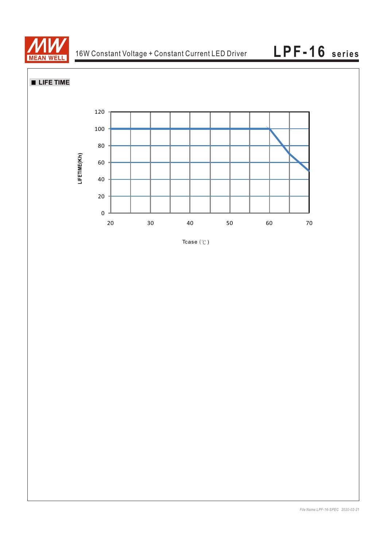

**LIFE TIME** 



Tcase  $(°C)$